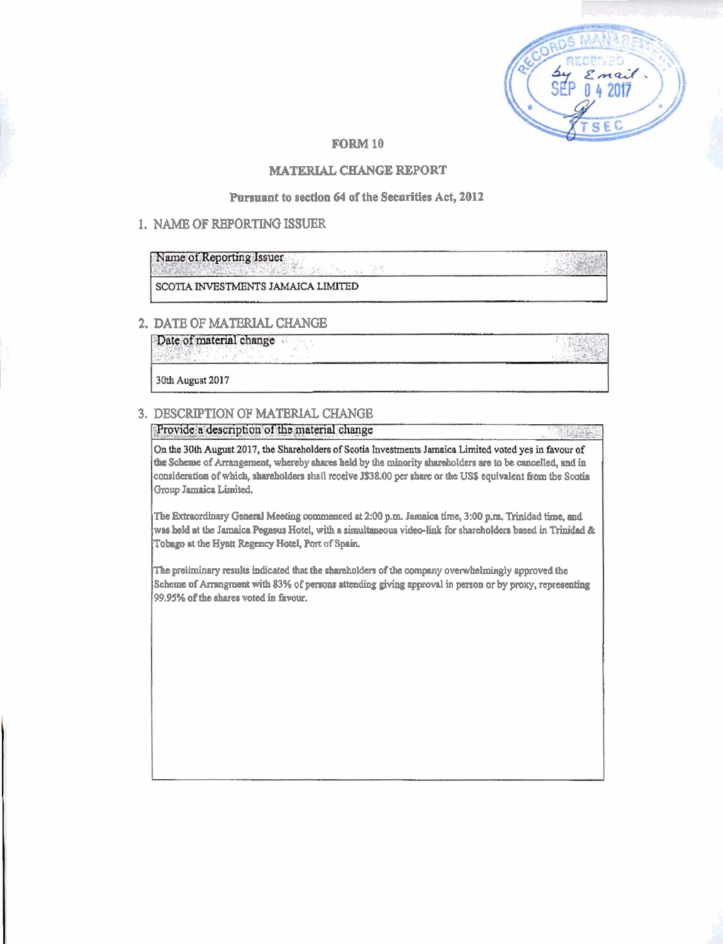| Reserv<br>$\begin{array}{c}\n\mathcal{S}\mathcal{U} \\ \mathcal{S}\mathcal{E}\mathcal{P} \\ 042017\n\end{array}$ |
|------------------------------------------------------------------------------------------------------------------|
|                                                                                                                  |
|                                                                                                                  |

### **FORM 10**

### **MATERIAL CHANGE REPORT**

#### Pursuant to section 64 of the Securities Act, 2012

### 1. NAME OF REPORTING ISSUER

Name of Reporting Issuer

SCOTIA INVESTMENTS JAMAICA LIMITED

### 2. DATE OF MATERIAL CHANGE

Date of material change

30th August 2017

### 3. DESCRIPTION OF MATERIAL CHANGE

Provide a description of the material change

On the 30th August 2017, the Shareholders of Scotia Investments Januaica Limited voted yes in favour of the Scheme of Arrangement, whereby shares held by the minority shareholders are to be cancelled, and in consideration of which, shareholders shall receive J\$38.00 per share or the US\$ equivalent from the Scotia Group Jamaica Limited.

The Extraordinary General Meeting commenced at 2:00 p.m. Januaica time, 3:00 p.m. Trinidad time, and was held at the Jamaica Pegasus Hotel, with a simultaneous video-link for shareholders based in Trinidad & Tobago at the Hyatt Regency Hotel, Port of Spain.

The preliminary results indicated that the shareholders of the company overwhelmingly approved the Scheme of Arrangment with 83% of persons attending giving approval in person or by proxy, representing 99.95% of the shares voted in favour.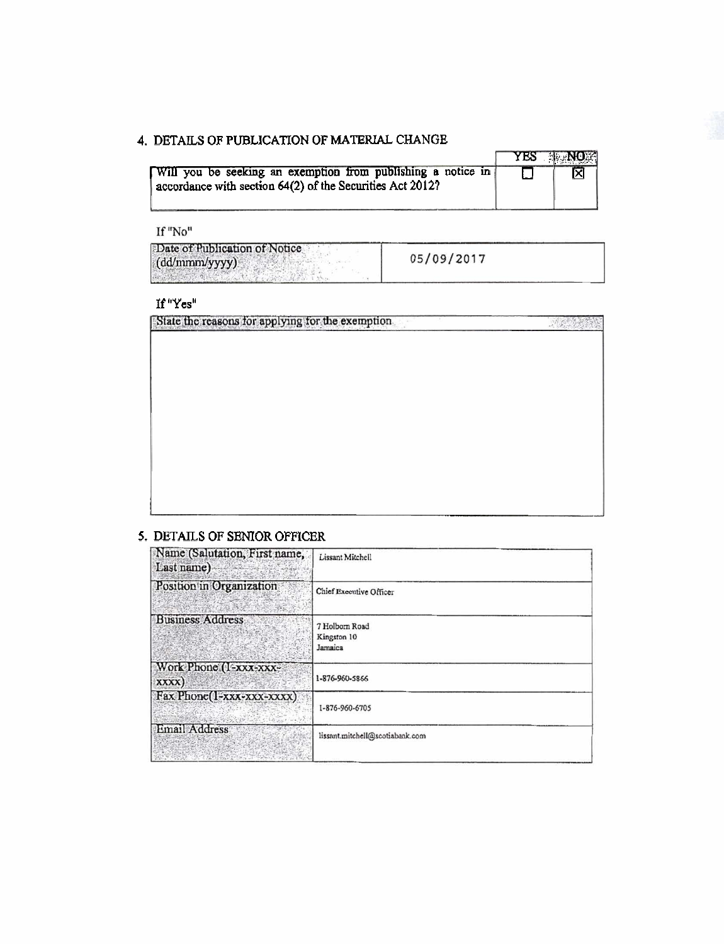# 4. DETAILS OF PUBLICATION OF MATERIAL CHANGE

|                                                           |  |  |  |  |  |                                                              |  |  | YES NO |
|-----------------------------------------------------------|--|--|--|--|--|--------------------------------------------------------------|--|--|--------|
|                                                           |  |  |  |  |  | Will you be seeking an exemption from publishing a notice in |  |  | ⊠      |
| accordance with section 64(2) of the Securities Act 2012? |  |  |  |  |  |                                                              |  |  |        |

If "No"

| Date of Publication of Notice<br>(dd/mmm/yyyy) | 05/09/2017 |  |
|------------------------------------------------|------------|--|
|                                                |            |  |

### If "Yes"

State the reasons for applying for the exemption

## 5. DETAILS OF SENIOR OFFICER

| Name (Salutation, First name,<br>Last name) | Lissant Mitchell                         |
|---------------------------------------------|------------------------------------------|
| Position in Organization                    | Chief Executive Officer                  |
| <b>Business Address</b>                     | 7 Holborn Road<br>Kingston 10<br>Jamaica |
| Work Phone (1-XXX-XXX-<br>XXXX)             | 1-876-960-5866                           |
| Fax Phone(1-xxx-xxx-xxxx)<br>$-2.785/10$    | 1-876-960-6705                           |
| Email Address                               | lissant.mitchell@scotiabank.com          |